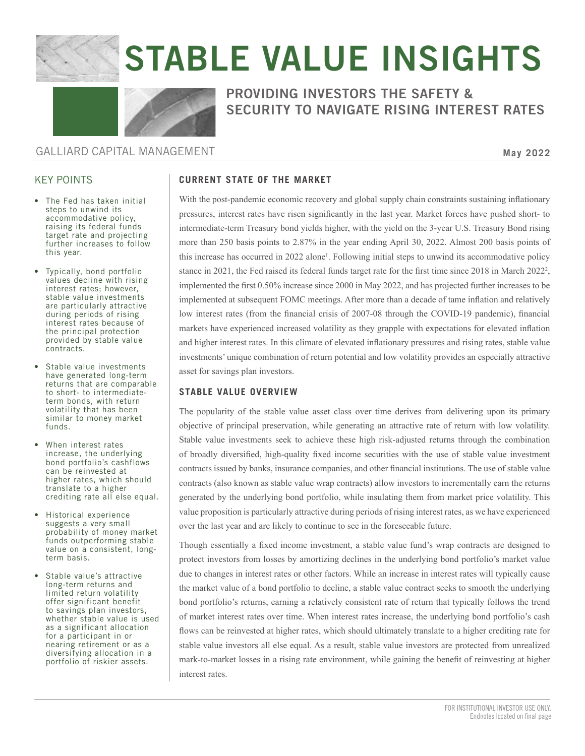

# STABLE VALUE INSIGHTS



# PROVIDING INVESTORS THE SAFETY & SECURITY TO NAVIGATE RISING INTEREST RATES

## GALLIARD CAPITAL MANAGEMENT

**May 2022**

## KEY POINTS

- The Fed has taken initial steps to unwind its accommodative policy, raising its federal funds target rate and projecting further increases to follow this year.
- Typically, bond portfolio values decline with rising interest rates; however, stable value investments are particularly attractive during periods of rising interest rates because of the principal protection provided by stable value contracts.
- Stable value investments have generated long-term returns that are comparable to short- to intermediateterm bonds, with return volatility that has been similar to money market funds.
- When interest rates increase, the underlying bond portfolio's cashflows can be reinvested at higher rates, which should translate to a higher crediting rate all else equal.
- Historical experience suggests a very small probability of money market funds outperforming stable value on a consistent, longterm basis.
- Stable value's attractive long-term returns and limited return volatility offer significant benefit to savings plan investors, whether stable value is used as a significant allocation for a participant in or nearing retirement or as a diversifying allocation in a portfolio of riskier assets.

# **CURRENT STATE OF THE MARKET**

With the post-pandemic economic recovery and global supply chain constraints sustaining inflationary pressures, interest rates have risen significantly in the last year. Market forces have pushed short- to intermediate-term Treasury bond yields higher, with the yield on the 3-year U.S. Treasury Bond rising more than 250 basis points to 2.87% in the year ending April 30, 2022. Almost 200 basis points of this increase has occurred in 2022 alone<sup>1</sup>. Following initial steps to unwind its accommodative policy stance in 2021, the Fed raised its federal funds target rate for the first time since 2018 in March 2022<sup>2</sup>, implemented the first 0.50% increase since 2000 in May 2022, and has projected further increases to be implemented at subsequent FOMC meetings. After more than a decade of tame inflation and relatively low interest rates (from the financial crisis of 2007-08 through the COVID-19 pandemic), financial markets have experienced increased volatility as they grapple with expectations for elevated inflation and higher interest rates. In this climate of elevated inflationary pressures and rising rates, stable value investments' unique combination of return potential and low volatility provides an especially attractive asset for savings plan investors.

### **STABLE VALUE OVERVIEW**

The popularity of the stable value asset class over time derives from delivering upon its primary objective of principal preservation, while generating an attractive rate of return with low volatility. Stable value investments seek to achieve these high risk-adjusted returns through the combination of broadly diversified, high-quality fixed income securities with the use of stable value investment contracts issued by banks, insurance companies, and other financial institutions. The use of stable value contracts (also known as stable value wrap contracts) allow investors to incrementally earn the returns generated by the underlying bond portfolio, while insulating them from market price volatility. This value proposition is particularly attractive during periods of rising interest rates, as we have experienced over the last year and are likely to continue to see in the foreseeable future.

Though essentially a fixed income investment, a stable value fund's wrap contracts are designed to protect investors from losses by amortizing declines in the underlying bond portfolio's market value due to changes in interest rates or other factors. While an increase in interest rates will typically cause the market value of a bond portfolio to decline, a stable value contract seeks to smooth the underlying bond portfolio's returns, earning a relatively consistent rate of return that typically follows the trend of market interest rates over time. When interest rates increase, the underlying bond portfolio's cash flows can be reinvested at higher rates, which should ultimately translate to a higher crediting rate for stable value investors all else equal. As a result, stable value investors are protected from unrealized mark-to-market losses in a rising rate environment, while gaining the benefit of reinvesting at higher interest rates.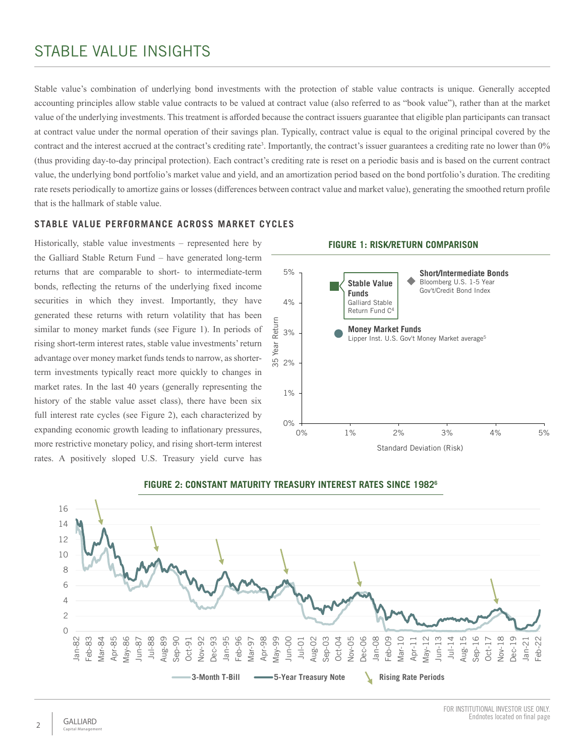# STABLE VALUE INSIGHTS

Stable value's combination of underlying bond investments with the protection of stable value contracts is unique. Generally accepted accounting principles allow stable value contracts to be valued at contract value (also referred to as "book value"), rather than at the market value of the underlying investments. This treatment is afforded because the contract issuers guarantee that eligible plan participants can transact at contract value under the normal operation of their savings plan. Typically, contract value is equal to the original principal covered by the contract and the interest accrued at the contract's crediting rate<sup>3</sup>. Importantly, the contract's issuer guarantees a crediting rate no lower than 0% (thus providing day-to-day principal protection). Each contract's crediting rate is reset on a periodic basis and is based on the current contract value, the underlying bond portfolio's market value and yield, and an amortization period based on the bond portfolio's duration. The crediting rate resets periodically to amortize gains or losses (differences between contract value and market value), generating the smoothed return profile that is the hallmark of stable value.

#### **STABLE VALUE PERFORMANCE ACROSS MARKET CYCLES**

Historically, stable value investments – represented here by the Galliard Stable Return Fund – have generated long-term returns that are comparable to short- to intermediate-term bonds, reflecting the returns of the underlying fixed income securities in which they invest. Importantly, they have generated these returns with return volatility that has been similar to money market funds (see Figure 1). In periods of rising short-term interest rates, stable value investments' return advantage over money market funds tends to narrow, as shorterterm investments typically react more quickly to changes in market rates. In the last 40 years (generally representing the history of the stable value asset class), there have been six full interest rate cycles (see Figure 2), each characterized by expanding economic growth leading to inflationary pressures, more restrictive monetary policy, and rising short-term interest rates. A positively sloped U.S. Treasury yield curve has



**FIGURE 1: RISK/RETURN COMPARISON**



#### **FIGURE 2: CONSTANT MATURITY TREASURY INTEREST RATES SINCE 19826**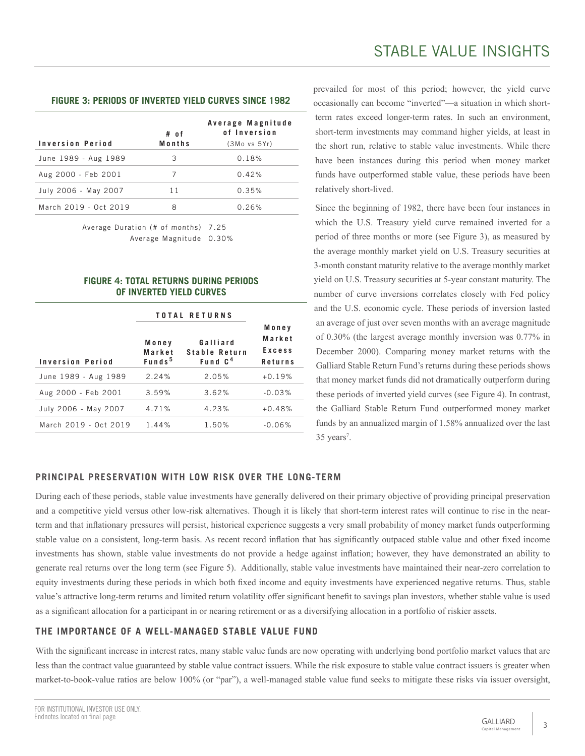# **FIGURE 3: PERIODS OF INVERTED YIELD CURVES SINCE 1982**

| Inversion Period      | # of<br>Months | Average Magnitude<br>of Inversion<br>(3Mo vs 5Yr) |
|-----------------------|----------------|---------------------------------------------------|
| June 1989 - Aug 1989  | 3              | 0.18%                                             |
| Aug 2000 - Feb 2001   |                | 0.42%                                             |
| July 2006 - May 2007  | 11             | 0.35%                                             |
| March 2019 - Oct 2019 | 8              | 0.26%                                             |

Average Duration (# of months) 7.25 Average Magnitude 0.30%

#### **FIGURE 4: TOTAL RETURNS DURING PERIODS OF INVERTED YIELD CURVES**

|                         | <b>TOTAL RETURNS</b>                  |                                                  |                                      |
|-------------------------|---------------------------------------|--------------------------------------------------|--------------------------------------|
| <b>Inversion Period</b> | Money<br>Market<br>Funds <sup>5</sup> | Galliard<br>Stable Return<br>Fund C <sup>4</sup> | Money<br>Market<br>Excess<br>Returns |
| June 1989 - Aug 1989    | 2.24%                                 | 2.05%                                            | $+0.19%$                             |
| Aug 2000 - Feb 2001     | 3.59%                                 | 3.62%                                            | $-0.03%$                             |
| July 2006 - May 2007    | 4.71%                                 | 4.23%                                            | $+0.48%$                             |
| March 2019 - Oct 2019   | 1.44%                                 | 1.50%                                            | $-0.06%$                             |
|                         |                                       |                                                  |                                      |

prevailed for most of this period; however, the yield curve occasionally can become "inverted"—a situation in which shortterm rates exceed longer-term rates. In such an environment, short-term investments may command higher yields, at least in the short run, relative to stable value investments. While there have been instances during this period when money market funds have outperformed stable value, these periods have been relatively short-lived.

Since the beginning of 1982, there have been four instances in which the U.S. Treasury yield curve remained inverted for a period of three months or more (see Figure 3), as measured by the average monthly market yield on U.S. Treasury securities at 3-month constant maturity relative to the average monthly market yield on U.S. Treasury securities at 5-year constant maturity. The number of curve inversions correlates closely with Fed policy and the U.S. economic cycle. These periods of inversion lasted an average of just over seven months with an average magnitude of 0.30% (the largest average monthly inversion was 0.77% in December 2000). Comparing money market returns with the Galliard Stable Return Fund's returns during these periods shows that money market funds did not dramatically outperform during these periods of inverted yield curves (see Figure 4). In contrast, the Galliard Stable Return Fund outperformed money market funds by an annualized margin of 1.58% annualized over the last  $35 \text{ years}^7$ .

#### **PRINCIPAL PRESERVATION WITH LOW RISK OVER THE LONG-TERM**

During each of these periods, stable value investments have generally delivered on their primary objective of providing principal preservation and a competitive yield versus other low-risk alternatives. Though it is likely that short-term interest rates will continue to rise in the nearterm and that inflationary pressures will persist, historical experience suggests a very small probability of money market funds outperforming stable value on a consistent, long-term basis. As recent record inflation that has significantly outpaced stable value and other fixed income investments has shown, stable value investments do not provide a hedge against inflation; however, they have demonstrated an ability to generate real returns over the long term (see Figure 5). Additionally, stable value investments have maintained their near-zero correlation to equity investments during these periods in which both fixed income and equity investments have experienced negative returns. Thus, stable value's attractive long-term returns and limited return volatility offer significant benefit to savings plan investors, whether stable value is used as a significant allocation for a participant in or nearing retirement or as a diversifying allocation in a portfolio of riskier assets.

#### **THE IMPORTANCE OF A WELL-MANAGED STABLE VALUE FUND**

With the significant increase in interest rates, many stable value funds are now operating with underlying bond portfolio market values that are less than the contract value guaranteed by stable value contract issuers. While the risk exposure to stable value contract issuers is greater when market-to-book-value ratios are below 100% (or "par"), a well-managed stable value fund seeks to mitigate these risks via issuer oversight,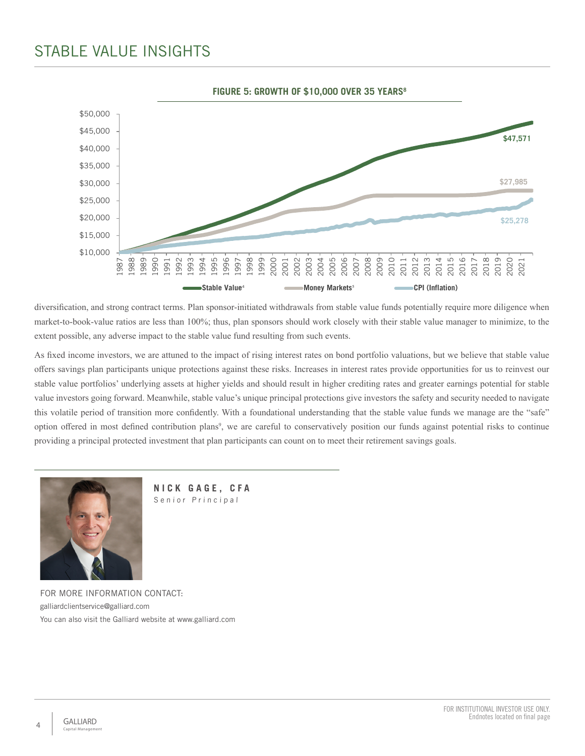# STABLE VALUE INSIGHTS



diversification, and strong contract terms. Plan sponsor-initiated withdrawals from stable value funds potentially require more diligence when market-to-book-value ratios are less than 100%; thus, plan sponsors should work closely with their stable value manager to minimize, to the extent possible, any adverse impact to the stable value fund resulting from such events.

As fixed income investors, we are attuned to the impact of rising interest rates on bond portfolio valuations, but we believe that stable value offers savings plan participants unique protections against these risks. Increases in interest rates provide opportunities for us to reinvest our stable value portfolios' underlying assets at higher yields and should result in higher crediting rates and greater earnings potential for stable value investors going forward. Meanwhile, stable value's unique principal protections give investors the safety and security needed to navigate this volatile period of transition more confidently. With a foundational understanding that the stable value funds we manage are the "safe" option offered in most defined contribution plans<sup>9</sup>, we are careful to conservatively position our funds against potential risks to continue providing a principal protected investment that plan participants can count on to meet their retirement savings goals.



**NICK GAGE, CFA** Senior Principal

FOR MORE INFORMATION CONTACT: galliardclientservice@galliard.com You can also visit the Galliard website at www.galliard.com